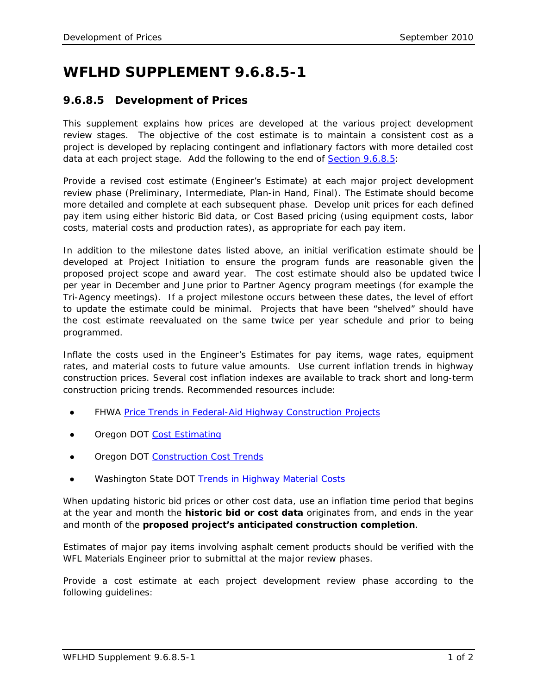## **WFLHD SUPPLEMENT 9.6.8.5-1**

## **9.6.8.5 Development of Prices**

This supplement explains how prices are developed at the various project development review stages. The objective of the cost estimate is to maintain a consistent cost as a project is developed by replacing contingent and inflationary factors with more detailed cost data at each project stage. Add the following to the end of **Section 9.6.8.5:** 

Provide a revised cost estimate (Engineer's Estimate) at each major project development review phase (Preliminary, Intermediate, Plan-in Hand, Final). The Estimate should become more detailed and complete at each subsequent phase. Develop unit prices for each defined pay item using either historic Bid data, or Cost Based pricing (using equipment costs, labor costs, material costs and production rates), as appropriate for each pay item.

In addition to the milestone dates listed above, an initial verification estimate should be developed at Project Initiation to ensure the program funds are reasonable given the proposed project scope and award year. The cost estimate should also be updated twice per year in December and June prior to Partner Agency program meetings (for example the Tri-Agency meetings). If a project milestone occurs between these dates, the level of effort to update the estimate could be minimal. Projects that have been "shelved" should have the cost estimate reevaluated on the same twice per year schedule and prior to being programmed.

Inflate the costs used in the Engineer's Estimates for pay items, wage rates, equipment rates, and material costs to future value amounts. Use current inflation trends in highway construction prices. Several cost inflation indexes are available to track short and long-term construction pricing trends. Recommended resources include:

- FHWA *[Price Trends in Federal-Aid Highway Construction Projects](http://www.fhwa.dot.gov/programadmin/pricetrends.cfm)*
- Oregon DOT [Cost Estimating](http://www.oregon.gov/ODOT/HWY/ESTIMATING/)
- Oregon DOT [Construction Cost Trends](http://www.oregon.gov/ODOT/HWY/ESTIMATING/cost_trends.shtml)
- Washington State DOT *[Trends in Highway Material Costs](http://www.wsdot.wa.gov/biz/construction/constructioncosts.cfm)*

When updating historic bid prices or other cost data, use an inflation time period that begins at the year and month the *historic bid or cost data* originates from, and ends in the year and month of the *proposed project's anticipated construction completion*.

Estimates of major pay items involving asphalt cement products should be verified with the WFL Materials Engineer prior to submittal at the major review phases.

Provide a cost estimate at each project development review phase according to the following guidelines: